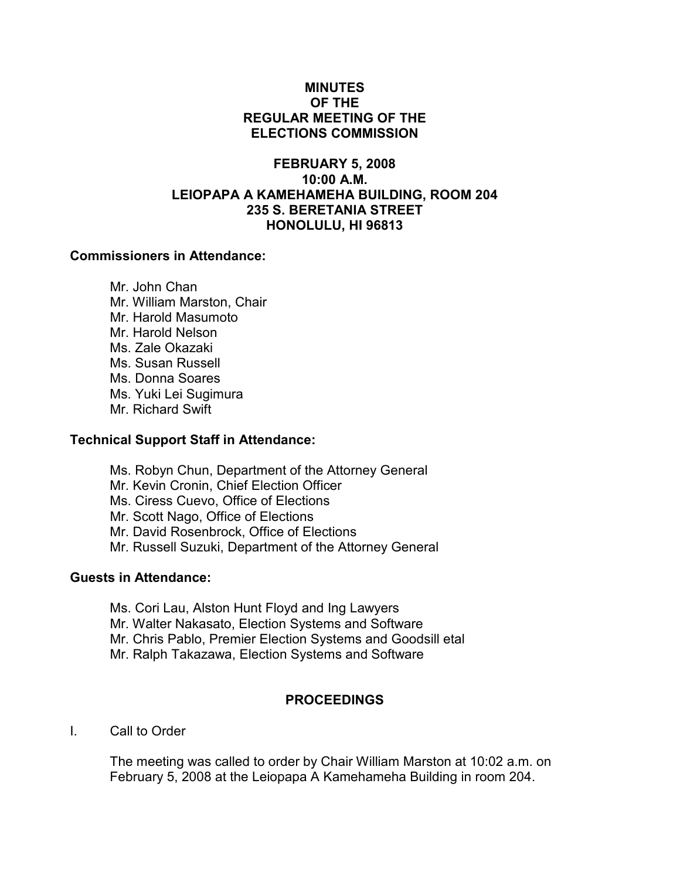## MINUTES OF THE REGULAR MEETING OF THE ELECTIONS COMMISSION

# FEBRUARY 5, 2008 10:00 A.M. LEIOPAPA A KAMEHAMEHA BUILDING, ROOM 204 235 S. BERETANIA STREET HONOLULU, HI 96813

### Commissioners in Attendance:

 Mr. John Chan Mr. William Marston, Chair Mr. Harold Masumoto Mr. Harold Nelson Ms. Zale Okazaki Ms. Susan Russell Ms. Donna Soares Ms. Yuki Lei Sugimura Mr. Richard Swift

### Technical Support Staff in Attendance:

Ms. Robyn Chun, Department of the Attorney General Mr. Kevin Cronin, Chief Election Officer Ms. Ciress Cuevo, Office of Elections Mr. Scott Nago, Office of Elections Mr. David Rosenbrock, Office of Elections Mr. Russell Suzuki, Department of the Attorney General

#### Guests in Attendance:

Ms. Cori Lau, Alston Hunt Floyd and Ing Lawyers Mr. Walter Nakasato, Election Systems and Software Mr. Chris Pablo, Premier Election Systems and Goodsill etal Mr. Ralph Takazawa, Election Systems and Software

# PROCEEDINGS

I. Call to Order

The meeting was called to order by Chair William Marston at 10:02 a.m. on February 5, 2008 at the Leiopapa A Kamehameha Building in room 204.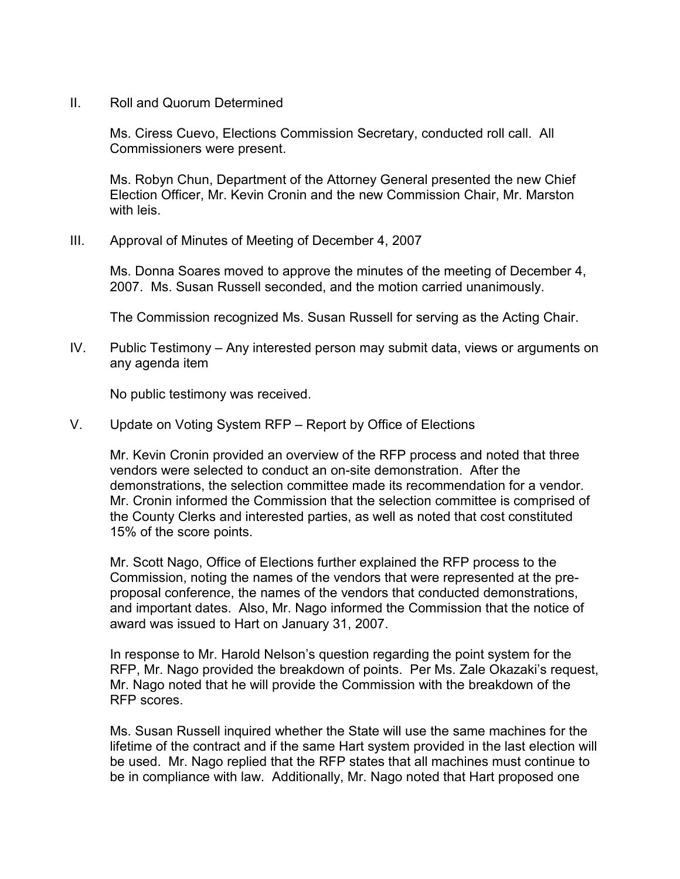II. Roll and Quorum Determined

Ms. Ciress Cuevo, Elections Commission Secretary, conducted roll call. All Commissioners were present.

Ms. Robyn Chun, Department of the Attorney General presented the new Chief Election Officer, Mr. Kevin Cronin and the new Commission Chair, Mr. Marston with leis.

III. Approval of Minutes of Meeting of December 4, 2007

Ms. Donna Soares moved to approve the minutes of the meeting of December 4, 2007. Ms. Susan Russell seconded, and the motion carried unanimously.

The Commission recognized Ms. Susan Russell for serving as the Acting Chair.

IV. Public Testimony – Any interested person may submit data, views or arguments on any agenda item

No public testimony was received.

V. Update on Voting System RFP – Report by Office of Elections

Mr. Kevin Cronin provided an overview of the RFP process and noted that three vendors were selected to conduct an on-site demonstration. After the demonstrations, the selection committee made its recommendation for a vendor. Mr. Cronin informed the Commission that the selection committee is comprised of the County Clerks and interested parties, as well as noted that cost constituted 15% of the score points.

Mr. Scott Nago, Office of Elections further explained the RFP process to the Commission, noting the names of the vendors that were represented at the preproposal conference, the names of the vendors that conducted demonstrations, and important dates. Also, Mr. Nago informed the Commission that the notice of award was issued to Hart on January 31, 2007.

In response to Mr. Harold Nelson's question regarding the point system for the RFP, Mr. Nago provided the breakdown of points. Per Ms. Zale Okazaki's request, Mr. Nago noted that he will provide the Commission with the breakdown of the RFP scores.

Ms. Susan Russell inquired whether the State will use the same machines for the lifetime of the contract and if the same Hart system provided in the last election will be used. Mr. Nago replied that the RFP states that all machines must continue to be in compliance with law. Additionally, Mr. Nago noted that Hart proposed one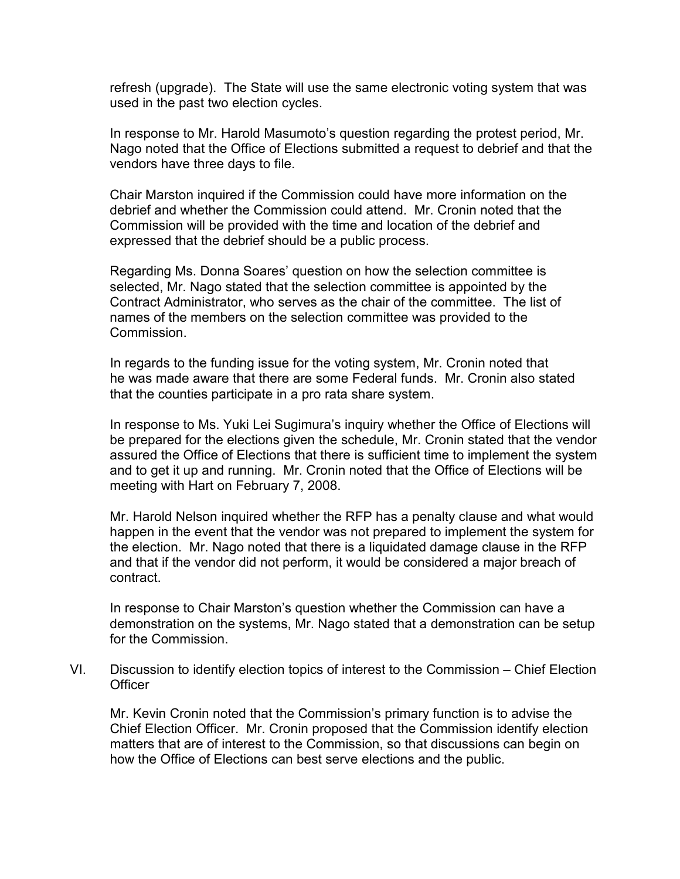refresh (upgrade). The State will use the same electronic voting system that was used in the past two election cycles.

In response to Mr. Harold Masumoto's question regarding the protest period, Mr. Nago noted that the Office of Elections submitted a request to debrief and that the vendors have three days to file.

Chair Marston inquired if the Commission could have more information on the debrief and whether the Commission could attend. Mr. Cronin noted that the Commission will be provided with the time and location of the debrief and expressed that the debrief should be a public process.

Regarding Ms. Donna Soares' question on how the selection committee is selected, Mr. Nago stated that the selection committee is appointed by the Contract Administrator, who serves as the chair of the committee. The list of names of the members on the selection committee was provided to the Commission.

 In regards to the funding issue for the voting system, Mr. Cronin noted that he was made aware that there are some Federal funds. Mr. Cronin also stated that the counties participate in a pro rata share system.

In response to Ms. Yuki Lei Sugimura's inquiry whether the Office of Elections will be prepared for the elections given the schedule, Mr. Cronin stated that the vendor assured the Office of Elections that there is sufficient time to implement the system and to get it up and running. Mr. Cronin noted that the Office of Elections will be meeting with Hart on February 7, 2008.

Mr. Harold Nelson inquired whether the RFP has a penalty clause and what would happen in the event that the vendor was not prepared to implement the system for the election. Mr. Nago noted that there is a liquidated damage clause in the RFP and that if the vendor did not perform, it would be considered a major breach of contract.

In response to Chair Marston's question whether the Commission can have a demonstration on the systems, Mr. Nago stated that a demonstration can be setup for the Commission.

VI. Discussion to identify election topics of interest to the Commission – Chief Election **Officer** 

Mr. Kevin Cronin noted that the Commission's primary function is to advise the Chief Election Officer. Mr. Cronin proposed that the Commission identify election matters that are of interest to the Commission, so that discussions can begin on how the Office of Elections can best serve elections and the public.